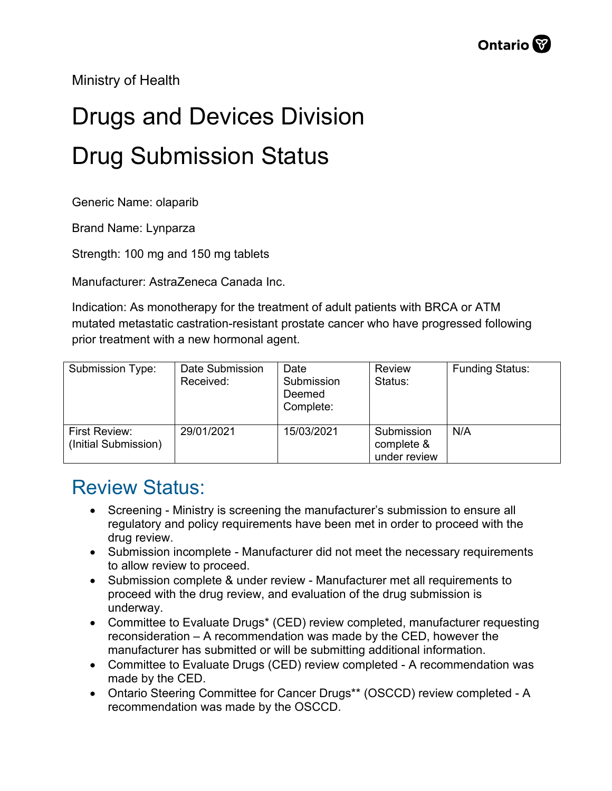Ministry of Health

## Drugs and Devices Division Drug Submission Status

Generic Name: olaparib

Brand Name: Lynparza

Strength: 100 mg and 150 mg tablets

Manufacturer: AstraZeneca Canada Inc.

Indication: As monotherapy for the treatment of adult patients with BRCA or ATM mutated metastatic castration-resistant prostate cancer who have progressed following prior treatment with a new hormonal agent.

| Submission Type:                             | Date Submission<br>Received: | Date<br>Submission<br>Deemed<br>Complete: | Review<br>Status:                        | <b>Funding Status:</b> |
|----------------------------------------------|------------------------------|-------------------------------------------|------------------------------------------|------------------------|
| <b>First Review:</b><br>(Initial Submission) | 29/01/2021                   | 15/03/2021                                | Submission<br>complete &<br>under review | N/A                    |

## Review Status:

- Screening Ministry is screening the manufacturer's submission to ensure all regulatory and policy requirements have been met in order to proceed with the drug review.
- Submission incomplete Manufacturer did not meet the necessary requirements to allow review to proceed.
- Submission complete & under review Manufacturer met all requirements to proceed with the drug review, and evaluation of the drug submission is underway.
- Committee to Evaluate Drugs\* (CED) review completed, manufacturer requesting reconsideration – A recommendation was made by the CED, however the manufacturer has submitted or will be submitting additional information.
- Committee to Evaluate Drugs (CED) review completed A recommendation was made by the CED.
- Ontario Steering Committee for Cancer Drugs\*\* (OSCCD) review completed A recommendation was made by the OSCCD.